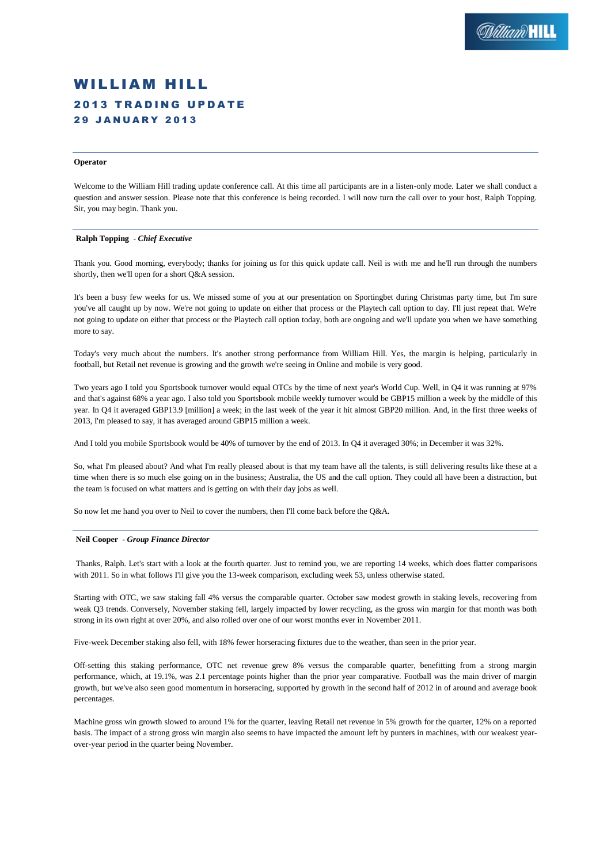# WILLIAM HILL **2013 TRADING UPDATE** 2 9 J A N U A R Y 2 0 1 3

# **Operator**

Welcome to the William Hill trading update conference call. At this time all participants are in a listen-only mode. Later we shall conduct a question and answer session. Please note that this conference is being recorded. I will now turn the call over to your host, Ralph Topping. Sir, you may begin. Thank you.

### **Ralph Topping** *- Chief Executive*

Thank you. Good morning, everybody; thanks for joining us for this quick update call. Neil is with me and he'll run through the numbers shortly, then we'll open for a short Q&A session.

It's been a busy few weeks for us. We missed some of you at our presentation on Sportingbet during Christmas party time, but I'm sure you've all caught up by now. We're not going to update on either that process or the Playtech call option to day. I'll just repeat that. We're not going to update on either that process or the Playtech call option today, both are ongoing and we'll update you when we have something more to say.

Today's very much about the numbers. It's another strong performance from William Hill. Yes, the margin is helping, particularly in football, but Retail net revenue is growing and the growth we're seeing in Online and mobile is very good.

Two years ago I told you Sportsbook turnover would equal OTCs by the time of next year's World Cup. Well, in Q4 it was running at 97% and that's against 68% a year ago. I also told you Sportsbook mobile weekly turnover would be GBP15 million a week by the middle of this year. In Q4 it averaged GBP13.9 [million] a week; in the last week of the year it hit almost GBP20 million. And, in the first three weeks of 2013, I'm pleased to say, it has averaged around GBP15 million a week.

And I told you mobile Sportsbook would be 40% of turnover by the end of 2013. In Q4 it averaged 30%; in December it was 32%.

So, what I'm pleased about? And what I'm really pleased about is that my team have all the talents, is still delivering results like these at a time when there is so much else going on in the business; Australia, the US and the call option. They could all have been a distraction, but the team is focused on what matters and is getting on with their day jobs as well.

So now let me hand you over to Neil to cover the numbers, then I'll come back before the Q&A.

#### **Neil Cooper** *- Group Finance Director*

Thanks, Ralph. Let's start with a look at the fourth quarter. Just to remind you, we are reporting 14 weeks, which does flatter comparisons with 2011. So in what follows I'll give you the 13-week comparison, excluding week 53, unless otherwise stated.

Starting with OTC, we saw staking fall 4% versus the comparable quarter. October saw modest growth in staking levels, recovering from weak Q3 trends. Conversely, November staking fell, largely impacted by lower recycling, as the gross win margin for that month was both strong in its own right at over 20%, and also rolled over one of our worst months ever in November 2011.

Five-week December staking also fell, with 18% fewer horseracing fixtures due to the weather, than seen in the prior year.

Off-setting this staking performance, OTC net revenue grew 8% versus the comparable quarter, benefitting from a strong margin performance, which, at 19.1%, was 2.1 percentage points higher than the prior year comparative. Football was the main driver of margin growth, but we've also seen good momentum in horseracing, supported by growth in the second half of 2012 in of around and average book percentages.

Machine gross win growth slowed to around 1% for the quarter, leaving Retail net revenue in 5% growth for the quarter, 12% on a reported basis. The impact of a strong gross win margin also seems to have impacted the amount left by punters in machines, with our weakest yearover-year period in the quarter being November.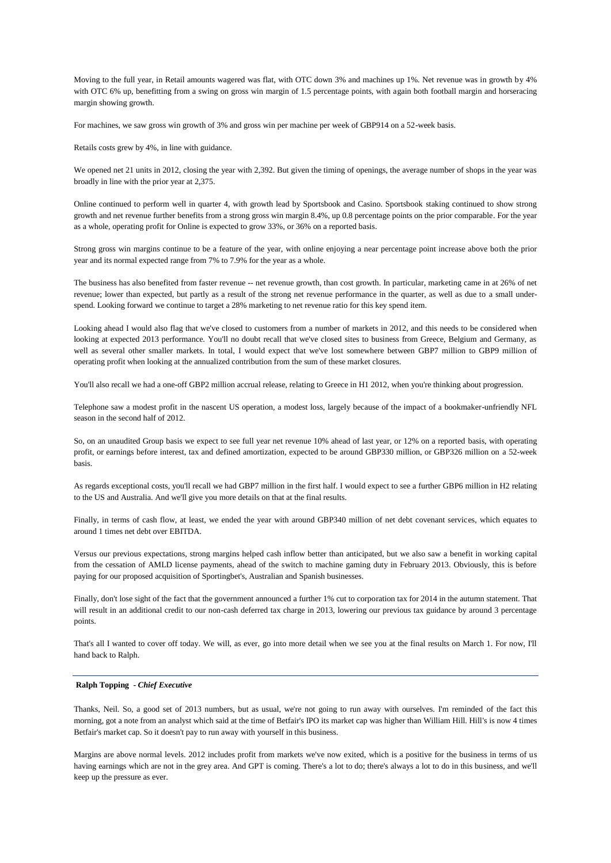Moving to the full year, in Retail amounts wagered was flat, with OTC down 3% and machines up 1%. Net revenue was in growth by 4% with OTC 6% up, benefitting from a swing on gross win margin of 1.5 percentage points, with again both football margin and horseracing margin showing growth.

For machines, we saw gross win growth of 3% and gross win per machine per week of GBP914 on a 52-week basis.

Retails costs grew by 4%, in line with guidance.

We opened net 21 units in 2012, closing the year with 2,392. But given the timing of openings, the average number of shops in the year was broadly in line with the prior year at 2,375.

Online continued to perform well in quarter 4, with growth lead by Sportsbook and Casino. Sportsbook staking continued to show strong growth and net revenue further benefits from a strong gross win margin 8.4%, up 0.8 percentage points on the prior comparable. For the year as a whole, operating profit for Online is expected to grow 33%, or 36% on a reported basis.

Strong gross win margins continue to be a feature of the year, with online enjoying a near percentage point increase above both the prior year and its normal expected range from 7% to 7.9% for the year as a whole.

The business has also benefited from faster revenue -- net revenue growth, than cost growth. In particular, marketing came in at 26% of net revenue; lower than expected, but partly as a result of the strong net revenue performance in the quarter, as well as due to a small underspend. Looking forward we continue to target a 28% marketing to net revenue ratio for this key spend item.

Looking ahead I would also flag that we've closed to customers from a number of markets in 2012, and this needs to be considered when looking at expected 2013 performance. You'll no doubt recall that we've closed sites to business from Greece, Belgium and Germany, as well as several other smaller markets. In total, I would expect that we've lost somewhere between GBP7 million to GBP9 million of operating profit when looking at the annualized contribution from the sum of these market closures.

You'll also recall we had a one-off GBP2 million accrual release, relating to Greece in H1 2012, when you're thinking about progression.

Telephone saw a modest profit in the nascent US operation, a modest loss, largely because of the impact of a bookmaker-unfriendly NFL season in the second half of 2012.

So, on an unaudited Group basis we expect to see full year net revenue 10% ahead of last year, or 12% on a reported basis, with operating profit, or earnings before interest, tax and defined amortization, expected to be around GBP330 million, or GBP326 million on a 52-week basis.

As regards exceptional costs, you'll recall we had GBP7 million in the first half. I would expect to see a further GBP6 million in H2 relating to the US and Australia. And we'll give you more details on that at the final results.

Finally, in terms of cash flow, at least, we ended the year with around GBP340 million of net debt covenant services, which equates to around 1 times net debt over EBITDA.

Versus our previous expectations, strong margins helped cash inflow better than anticipated, but we also saw a benefit in working capital from the cessation of AMLD license payments, ahead of the switch to machine gaming duty in February 2013. Obviously, this is before paying for our proposed acquisition of Sportingbet's, Australian and Spanish businesses.

Finally, don't lose sight of the fact that the government announced a further 1% cut to corporation tax for 2014 in the autumn statement. That will result in an additional credit to our non-cash deferred tax charge in 2013, lowering our previous tax guidance by around 3 percentage points.

That's all I wanted to cover off today. We will, as ever, go into more detail when we see you at the final results on March 1. For now, I'll hand back to Ralph.

### **Ralph Topping** *- Chief Executive*

Thanks, Neil. So, a good set of 2013 numbers, but as usual, we're not going to run away with ourselves. I'm reminded of the fact this morning, got a note from an analyst which said at the time of Betfair's IPO its market cap was higher than William Hill. Hill's is now 4 times Betfair's market cap. So it doesn't pay to run away with yourself in this business.

Margins are above normal levels. 2012 includes profit from markets we've now exited, which is a positive for the business in terms of us having earnings which are not in the grey area. And GPT is coming. There's a lot to do; there's always a lot to do in this business, and we'll keep up the pressure as ever.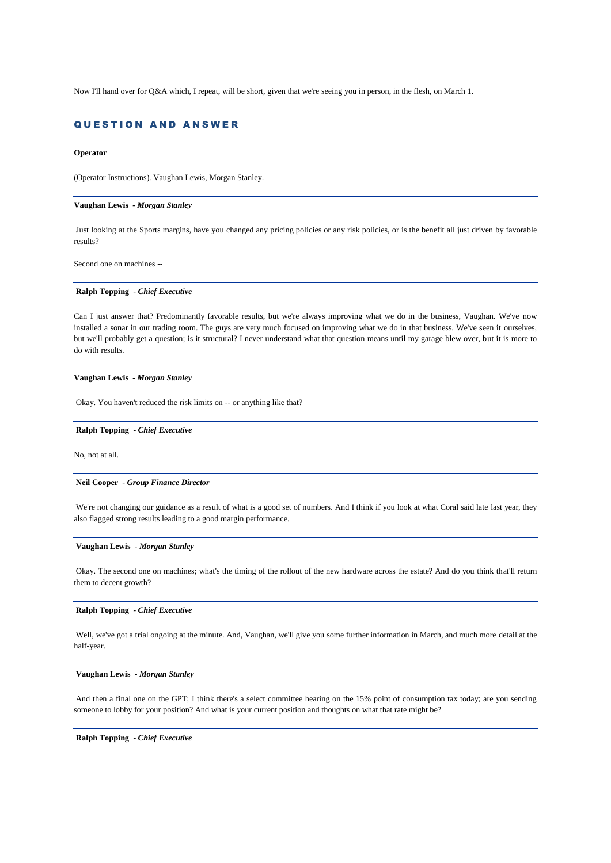Now I'll hand over for Q&A which, I repeat, will be short, given that we're seeing you in person, in the flesh, on March 1.

# QUESTION AND ANSWER

### **Operator**

(Operator Instructions). Vaughan Lewis, Morgan Stanley.

# **Vaughan Lewis** *- Morgan Stanley*

Just looking at the Sports margins, have you changed any pricing policies or any risk policies, or is the benefit all just driven by favorable results?

Second one on machines --

### **Ralph Topping** *- Chief Executive*

Can I just answer that? Predominantly favorable results, but we're always improving what we do in the business, Vaughan. We've now installed a sonar in our trading room. The guys are very much focused on improving what we do in that business. We've seen it ourselves, but we'll probably get a question; is it structural? I never understand what that question means until my garage blew over, but it is more to do with results.

# **Vaughan Lewis** *- Morgan Stanley*

Okay. You haven't reduced the risk limits on -- or anything like that?

# **Ralph Topping** *- Chief Executive*

No, not at all.

### **Neil Cooper** *- Group Finance Director*

We're not changing our guidance as a result of what is a good set of numbers. And I think if you look at what Coral said late last year, they also flagged strong results leading to a good margin performance.

# **Vaughan Lewis** *- Morgan Stanley*

Okay. The second one on machines; what's the timing of the rollout of the new hardware across the estate? And do you think that'll return them to decent growth?

# **Ralph Topping** *- Chief Executive*

Well, we've got a trial ongoing at the minute. And, Vaughan, we'll give you some further information in March, and much more detail at the half-year.

### **Vaughan Lewis** *- Morgan Stanley*

And then a final one on the GPT; I think there's a select committee hearing on the 15% point of consumption tax today; are you sending someone to lobby for your position? And what is your current position and thoughts on what that rate might be?

### **Ralph Topping** *- Chief Executive*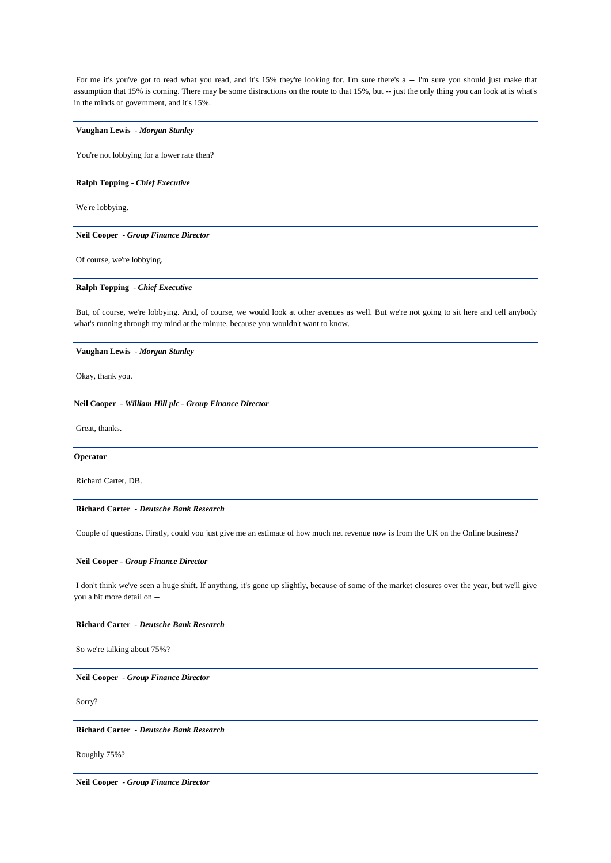For me it's you've got to read what you read, and it's 15% they're looking for. I'm sure there's a -- I'm sure you should just make that assumption that 15% is coming. There may be some distractions on the route to that 15%, but -- just the only thing you can look at is what's in the minds of government, and it's 15%.

# **Vaughan Lewis** *- Morgan Stanley*

You're not lobbying for a lower rate then?

# **Ralph Topping** *- Chief Executive*

We're lobbying.

### **Neil Cooper** *- Group Finance Director*

Of course, we're lobbying.

# **Ralph Topping** *- Chief Executive*

But, of course, we're lobbying. And, of course, we would look at other avenues as well. But we're not going to sit here and tell anybody what's running through my mind at the minute, because you wouldn't want to know.

**Vaughan Lewis** *- Morgan Stanley*

Okay, thank you.

# **Neil Cooper** *- William Hill plc - Group Finance Director*

Great, thanks.

# **Operator**

Richard Carter, DB.

# **Richard Carter** *- Deutsche Bank Research*

Couple of questions. Firstly, could you just give me an estimate of how much net revenue now is from the UK on the Online business?

### **Neil Cooper** *- Group Finance Director*

I don't think we've seen a huge shift. If anything, it's gone up slightly, because of some of the market closures over the year, but we'll give you a bit more detail on --

# **Richard Carter** *- Deutsche Bank Research*

So we're talking about 75%?

**Neil Cooper** *- Group Finance Director* 

Sorry?

#### **Richard Carter** *- Deutsche Bank Research*

Roughly 75%?

**Neil Cooper** *- Group Finance Director*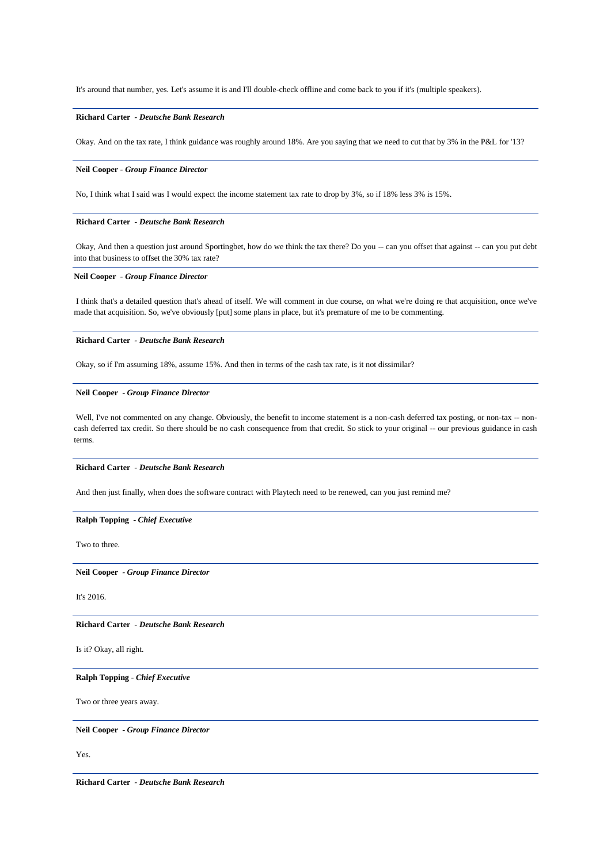It's around that number, yes. Let's assume it is and I'll double-check offline and come back to you if it's (multiple speakers).

# **Richard Carter** *- Deutsche Bank Research*

Okay. And on the tax rate, I think guidance was roughly around 18%. Are you saying that we need to cut that by 3% in the P&L for '13?

### **Neil Cooper** *- Group Finance Director*

No, I think what I said was I would expect the income statement tax rate to drop by 3%, so if 18% less 3% is 15%.

# **Richard Carter** *- Deutsche Bank Research*

Okay, And then a question just around Sportingbet, how do we think the tax there? Do you -- can you offset that against -- can you put debt into that business to offset the 30% tax rate?

# **Neil Cooper** *- Group Finance Director*

I think that's a detailed question that's ahead of itself. We will comment in due course, on what we're doing re that acquisition, once we've made that acquisition. So, we've obviously [put] some plans in place, but it's premature of me to be commenting.

### **Richard Carter** *- Deutsche Bank Research*

Okay, so if I'm assuming 18%, assume 15%. And then in terms of the cash tax rate, is it not dissimilar?

### **Neil Cooper** *- Group Finance Director*

Well, I've not commented on any change. Obviously, the benefit to income statement is a non-cash deferred tax posting, or non-tax -- noncash deferred tax credit. So there should be no cash consequence from that credit. So stick to your original -- our previous guidance in cash terms.

# **Richard Carter** *- Deutsche Bank Research*

And then just finally, when does the software contract with Playtech need to be renewed, can you just remind me?

# **Ralph Topping** *- Chief Executive*

Two to three.

**Neil Cooper** *- Group Finance Director* 

It's 2016.

**Richard Carter** *- Deutsche Bank Research* 

Is it? Okay, all right.

# **Ralph Topping** *- Chief Executive*

Two or three years away.

### **Neil Cooper** *- Group Finance Director*

Yes.

**Richard Carter** *- Deutsche Bank Research*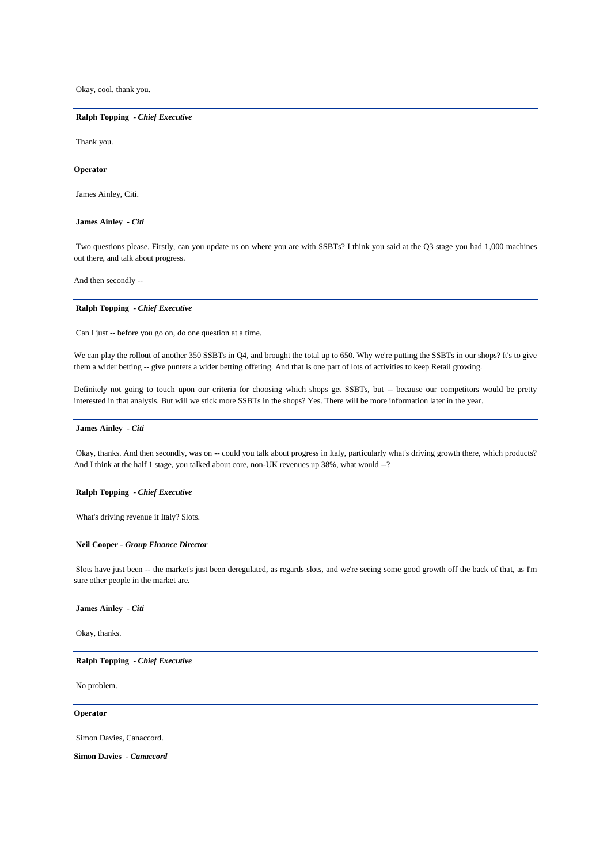Okay, cool, thank you.

# **Ralph Topping** *- Chief Executive*

Thank you.

### **Operator**

James Ainley, Citi.

# **James Ainley** *- Citi*

Two questions please. Firstly, can you update us on where you are with SSBTs? I think you said at the Q3 stage you had 1,000 machines out there, and talk about progress.

And then secondly --

# **Ralph Topping** *- Chief Executive*

Can I just -- before you go on, do one question at a time.

We can play the rollout of another 350 SSBTs in Q4, and brought the total up to 650. Why we're putting the SSBTs in our shops? It's to give them a wider betting -- give punters a wider betting offering. And that is one part of lots of activities to keep Retail growing.

Definitely not going to touch upon our criteria for choosing which shops get SSBTs, but -- because our competitors would be pretty interested in that analysis. But will we stick more SSBTs in the shops? Yes. There will be more information later in the year.

### **James Ainley** *- Citi*

Okay, thanks. And then secondly, was on -- could you talk about progress in Italy, particularly what's driving growth there, which products? And I think at the half 1 stage, you talked about core, non-UK revenues up 38%, what would --?

# **Ralph Topping** *- Chief Executive*

What's driving revenue it Italy? Slots.

# **Neil Cooper** *- Group Finance Director*

Slots have just been -- the market's just been deregulated, as regards slots, and we're seeing some good growth off the back of that, as I'm sure other people in the market are.

# **James Ainley** *- Citi*

Okay, thanks.

### **Ralph Topping** *- Chief Executive*

No problem.

**Operator**

Simon Davies, Canaccord.

**Simon Davies** *- Canaccord*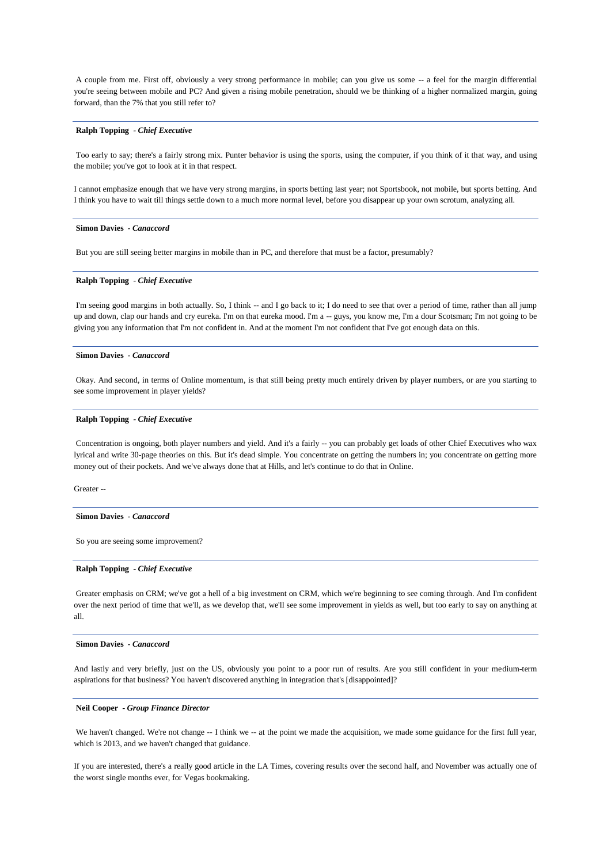A couple from me. First off, obviously a very strong performance in mobile; can you give us some -- a feel for the margin differential you're seeing between mobile and PC? And given a rising mobile penetration, should we be thinking of a higher normalized margin, going forward, than the 7% that you still refer to?

# **Ralph Topping** *- Chief Executive*

Too early to say; there's a fairly strong mix. Punter behavior is using the sports, using the computer, if you think of it that way, and using the mobile; you've got to look at it in that respect.

I cannot emphasize enough that we have very strong margins, in sports betting last year; not Sportsbook, not mobile, but sports betting. And I think you have to wait till things settle down to a much more normal level, before you disappear up your own scrotum, analyzing all.

#### **Simon Davies** *- Canaccord*

But you are still seeing better margins in mobile than in PC, and therefore that must be a factor, presumably?

### **Ralph Topping** *- Chief Executive*

I'm seeing good margins in both actually. So, I think -- and I go back to it; I do need to see that over a period of time, rather than all jump up and down, clap our hands and cry eureka. I'm on that eureka mood. I'm a -- guys, you know me, I'm a dour Scotsman; I'm not going to be giving you any information that I'm not confident in. And at the moment I'm not confident that I've got enough data on this.

# **Simon Davies** *- Canaccord*

Okay. And second, in terms of Online momentum, is that still being pretty much entirely driven by player numbers, or are you starting to see some improvement in player yields?

# **Ralph Topping** *- Chief Executive*

Concentration is ongoing, both player numbers and yield. And it's a fairly -- you can probably get loads of other Chief Executives who wax lyrical and write 30-page theories on this. But it's dead simple. You concentrate on getting the numbers in; you concentrate on getting more money out of their pockets. And we've always done that at Hills, and let's continue to do that in Online.

Greater --

#### **Simon Davies** *- Canaccord*

So you are seeing some improvement?

### **Ralph Topping** *- Chief Executive*

Greater emphasis on CRM; we've got a hell of a big investment on CRM, which we're beginning to see coming through. And I'm confident over the next period of time that we'll, as we develop that, we'll see some improvement in yields as well, but too early to say on anything at all.

### **Simon Davies** *- Canaccord*

And lastly and very briefly, just on the US, obviously you point to a poor run of results. Are you still confident in your medium-term aspirations for that business? You haven't discovered anything in integration that's [disappointed]?

### **Neil Cooper** *- Group Finance Director*

We haven't changed. We're not change -- I think we -- at the point we made the acquisition, we made some guidance for the first full year, which is 2013, and we haven't changed that guidance.

If you are interested, there's a really good article in the LA Times, covering results over the second half, and November was actually one of the worst single months ever, for Vegas bookmaking.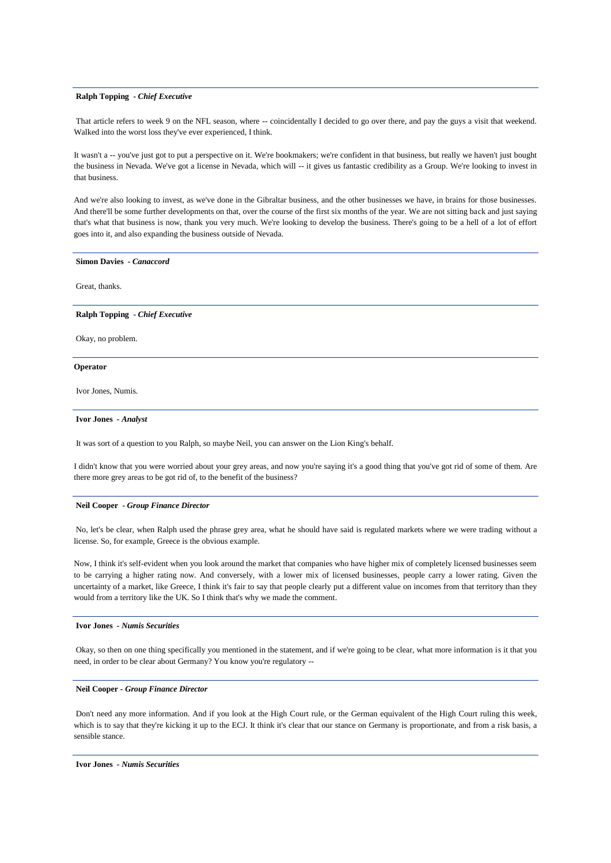### **Ralph Topping** *- Chief Executive*

That article refers to week 9 on the NFL season, where -- coincidentally I decided to go over there, and pay the guys a visit that weekend. Walked into the worst loss they've ever experienced, I think.

It wasn't a -- you've just got to put a perspective on it. We're bookmakers; we're confident in that business, but really we haven't just bought the business in Nevada. We've got a license in Nevada, which will -- it gives us fantastic credibility as a Group. We're looking to invest in that business.

And we're also looking to invest, as we've done in the Gibraltar business, and the other businesses we have, in brains for those businesses. And there'll be some further developments on that, over the course of the first six months of the year. We are not sitting back and just saying that's what that business is now, thank you very much. We're looking to develop the business. There's going to be a hell of a lot of effort goes into it, and also expanding the business outside of Nevada.

#### **Simon Davies** *- Canaccord*

Great, thanks.

### **Ralph Topping** *- Chief Executive*

Okay, no problem.

### **Operator**

Ivor Jones, Numis.

### **Ivor Jones** *- Analyst*

It was sort of a question to you Ralph, so maybe Neil, you can answer on the Lion King's behalf.

I didn't know that you were worried about your grey areas, and now you're saying it's a good thing that you've got rid of some of them. Are there more grey areas to be got rid of, to the benefit of the business?

#### **Neil Cooper** *- Group Finance Director*

No, let's be clear, when Ralph used the phrase grey area, what he should have said is regulated markets where we were trading without a license. So, for example, Greece is the obvious example.

Now, I think it's self-evident when you look around the market that companies who have higher mix of completely licensed businesses seem to be carrying a higher rating now. And conversely, with a lower mix of licensed businesses, people carry a lower rating. Given the uncertainty of a market, like Greece, I think it's fair to say that people clearly put a different value on incomes from that territory than they would from a territory like the UK. So I think that's why we made the comment.

# **Ivor Jones** *- Numis Securities*

Okay, so then on one thing specifically you mentioned in the statement, and if we're going to be clear, what more information is it that you need, in order to be clear about Germany? You know you're regulatory --

# **Neil Cooper** *- Group Finance Director*

Don't need any more information. And if you look at the High Court rule, or the German equivalent of the High Court ruling this week. which is to say that they're kicking it up to the ECJ. It think it's clear that our stance on Germany is proportionate, and from a risk basis, a sensible stance.

### **Ivor Jones** *- Numis Securities*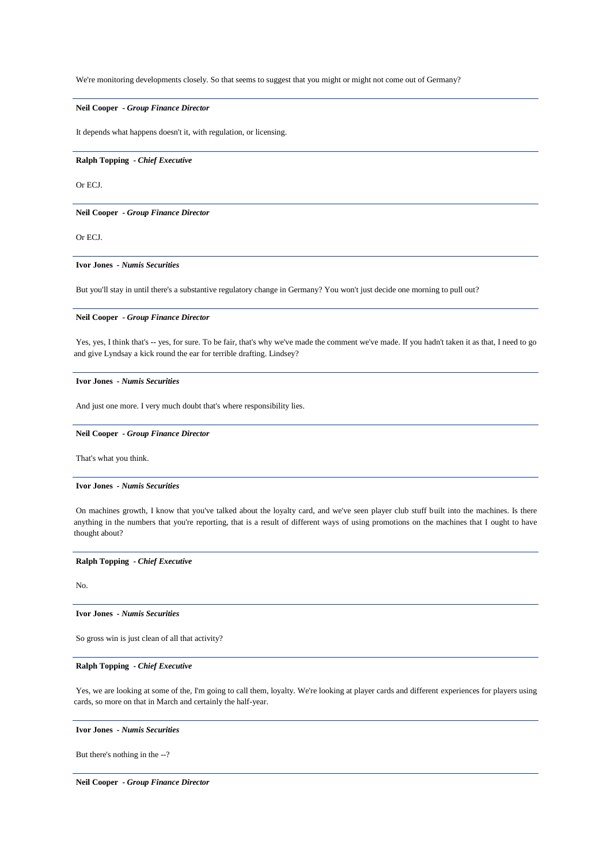We're monitoring developments closely. So that seems to suggest that you might or might not come out of Germany?

# **Neil Cooper** *- Group Finance Director*

It depends what happens doesn't it, with regulation, or licensing.

# **Ralph Topping** *- Chief Executive*

Or ECJ.

**Neil Cooper** *- Group Finance Director* 

Or ECJ.

# **Ivor Jones** *- Numis Securities*

But you'll stay in until there's a substantive regulatory change in Germany? You won't just decide one morning to pull out?

### **Neil Cooper** *- Group Finance Director*

Yes, yes, I think that's -- yes, for sure. To be fair, that's why we've made the comment we've made. If you hadn't taken it as that, I need to go and give Lyndsay a kick round the ear for terrible drafting. Lindsey?

# **Ivor Jones** *- Numis Securities*

And just one more. I very much doubt that's where responsibility lies.

### **Neil Cooper** *- Group Finance Director*

That's what you think.

### **Ivor Jones** *- Numis Securities*

On machines growth, I know that you've talked about the loyalty card, and we've seen player club stuff built into the machines. Is there anything in the numbers that you're reporting, that is a result of different ways of using promotions on the machines that I ought to have thought about?

### **Ralph Topping** *- Chief Executive*

No.

# **Ivor Jones** *- Numis Securities*

So gross win is just clean of all that activity?

# **Ralph Topping** *- Chief Executive*

Yes, we are looking at some of the, I'm going to call them, loyalty. We're looking at player cards and different experiences for players using cards, so more on that in March and certainly the half-year.

### **Ivor Jones** *- Numis Securities*

But there's nothing in the --?

**Neil Cooper** *- Group Finance Director*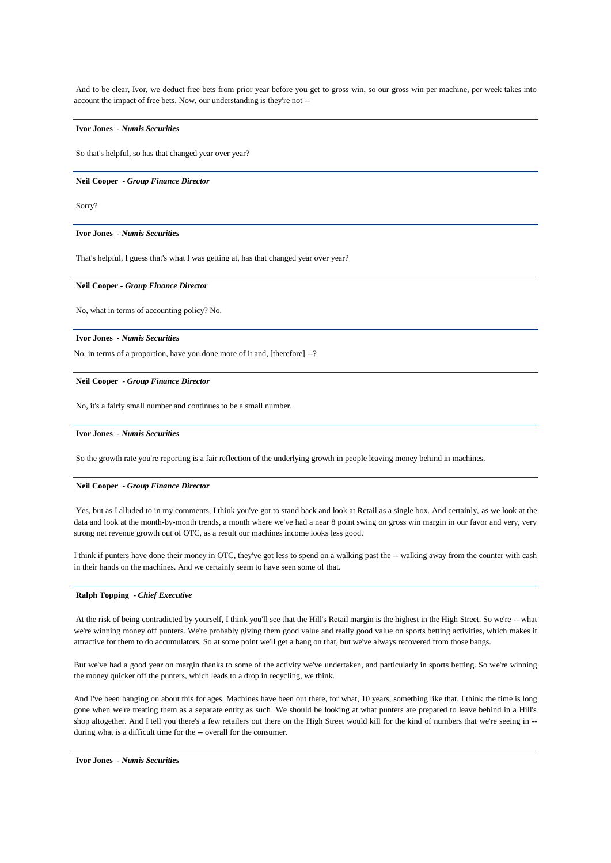And to be clear, Ivor, we deduct free bets from prior year before you get to gross win, so our gross win per machine, per week takes into account the impact of free bets. Now, our understanding is they're not --

# **Ivor Jones** *- Numis Securities*

So that's helpful, so has that changed year over year?

### **Neil Cooper** *- Group Finance Director*

Sorry?

# **Ivor Jones** *- Numis Securities*

That's helpful, I guess that's what I was getting at, has that changed year over year?

# **Neil Cooper** *- Group Finance Director*

No, what in terms of accounting policy? No.

#### **Ivor Jones** *- Numis Securities*

No, in terms of a proportion, have you done more of it and, [therefore] --?

### **Neil Cooper** *- Group Finance Director*

No, it's a fairly small number and continues to be a small number.

### **Ivor Jones** *- Numis Securities*

So the growth rate you're reporting is a fair reflection of the underlying growth in people leaving money behind in machines.

### **Neil Cooper** *- Group Finance Director*

Yes, but as I alluded to in my comments, I think you've got to stand back and look at Retail as a single box. And certainly, as we look at the data and look at the month-by-month trends, a month where we've had a near 8 point swing on gross win margin in our favor and very, very strong net revenue growth out of OTC, as a result our machines income looks less good.

I think if punters have done their money in OTC, they've got less to spend on a walking past the -- walking away from the counter with cash in their hands on the machines. And we certainly seem to have seen some of that.

### **Ralph Topping** *- Chief Executive*

At the risk of being contradicted by yourself, I think you'll see that the Hill's Retail margin is the highest in the High Street. So we're -- what we're winning money off punters. We're probably giving them good value and really good value on sports betting activities, which makes it attractive for them to do accumulators. So at some point we'll get a bang on that, but we've always recovered from those bangs.

But we've had a good year on margin thanks to some of the activity we've undertaken, and particularly in sports betting. So we're winning the money quicker off the punters, which leads to a drop in recycling, we think.

And I've been banging on about this for ages. Machines have been out there, for what, 10 years, something like that. I think the time is long gone when we're treating them as a separate entity as such. We should be looking at what punters are prepared to leave behind in a Hill's shop altogether. And I tell you there's a few retailers out there on the High Street would kill for the kind of numbers that we're seeing in - during what is a difficult time for the -- overall for the consumer.

**Ivor Jones** *- Numis Securities*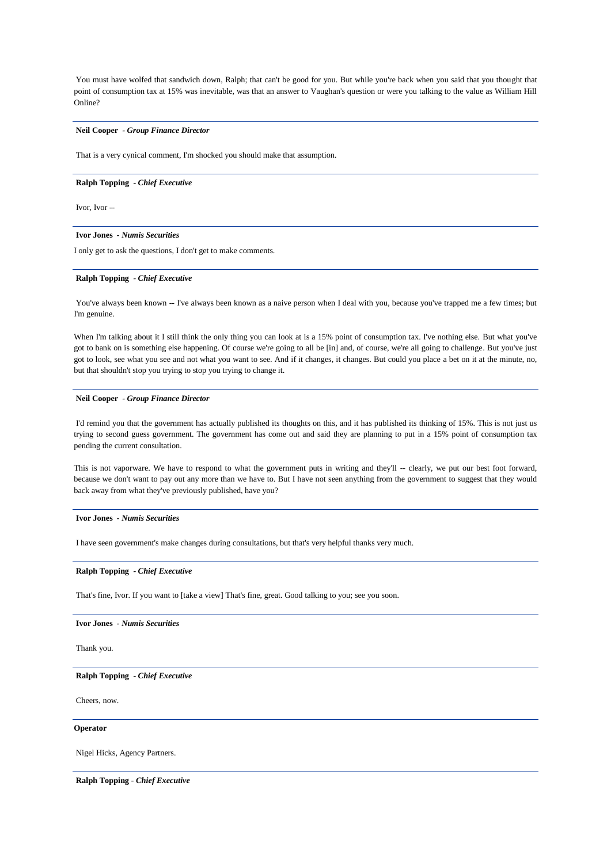You must have wolfed that sandwich down, Ralph; that can't be good for you. But while you're back when you said that you thought that point of consumption tax at 15% was inevitable, was that an answer to Vaughan's question or were you talking to the value as William Hill Online?

# **Neil Cooper** *- Group Finance Director*

That is a very cynical comment, I'm shocked you should make that assumption.

### **Ralph Topping** *- Chief Executive*

Ivor, Ivor --

# **Ivor Jones** *- Numis Securities*

I only get to ask the questions, I don't get to make comments.

### **Ralph Topping** *- Chief Executive*

You've always been known -- I've always been known as a naive person when I deal with you, because you've trapped me a few times; but I'm genuine.

When I'm talking about it I still think the only thing you can look at is a 15% point of consumption tax. I've nothing else. But what you've got to bank on is something else happening. Of course we're going to all be [in] and, of course, we're all going to challenge. But you've just got to look, see what you see and not what you want to see. And if it changes, it changes. But could you place a bet on it at the minute, no, but that shouldn't stop you trying to stop you trying to change it.

# **Neil Cooper** *- Group Finance Director*

I'd remind you that the government has actually published its thoughts on this, and it has published its thinking of 15%. This is not just us trying to second guess government. The government has come out and said they are planning to put in a 15% point of consumption tax pending the current consultation.

This is not vaporware. We have to respond to what the government puts in writing and they'll -- clearly, we put our best foot forward, because we don't want to pay out any more than we have to. But I have not seen anything from the government to suggest that they would back away from what they've previously published, have you?

#### **Ivor Jones** *- Numis Securities*

I have seen government's make changes during consultations, but that's very helpful thanks very much.

### **Ralph Topping** *- Chief Executive*

That's fine, Ivor. If you want to [take a view] That's fine, great. Good talking to you; see you soon.

### **Ivor Jones** *- Numis Securities*

Thank you.

### **Ralph Topping** *- Chief Executive*

Cheers, now.

### **Operator**

Nigel Hicks, Agency Partners.

**Ralph Topping** *- Chief Executive*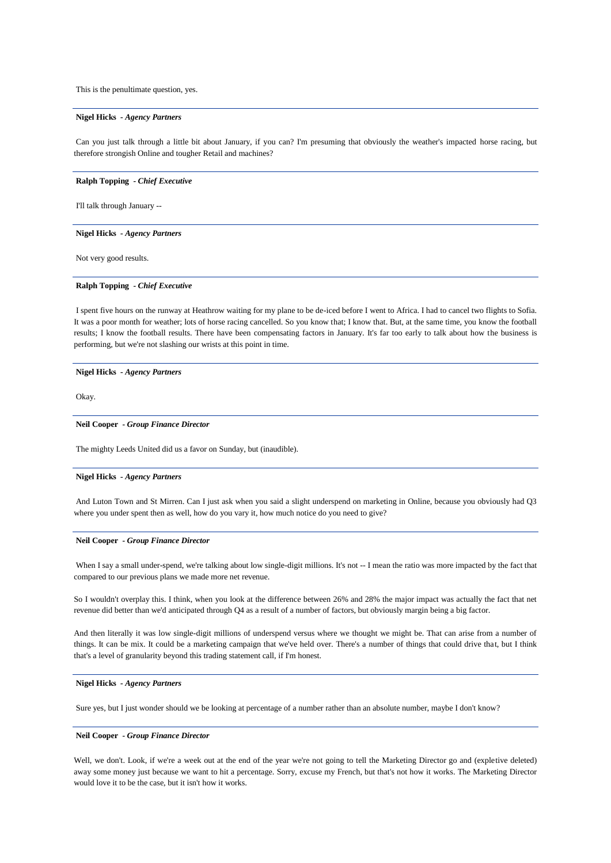This is the penultimate question, yes.

### **Nigel Hicks** *- Agency Partners*

Can you just talk through a little bit about January, if you can? I'm presuming that obviously the weather's impacted horse racing, but therefore strongish Online and tougher Retail and machines?

**Ralph Topping** *- Chief Executive* 

I'll talk through January --

# **Nigel Hicks** *- Agency Partners*

Not very good results.

# **Ralph Topping** *- Chief Executive*

I spent five hours on the runway at Heathrow waiting for my plane to be de-iced before I went to Africa. I had to cancel two flights to Sofia. It was a poor month for weather; lots of horse racing cancelled. So you know that; I know that. But, at the same time, you know the football results; I know the football results. There have been compensating factors in January. It's far too early to talk about how the business is performing, but we're not slashing our wrists at this point in time.

### **Nigel Hicks** *- Agency Partners*

Okay.

### **Neil Cooper** *- Group Finance Director*

The mighty Leeds United did us a favor on Sunday, but (inaudible).

# **Nigel Hicks** *- Agency Partners*

And Luton Town and St Mirren. Can I just ask when you said a slight underspend on marketing in Online, because you obviously had Q3 where you under spent then as well, how do you vary it, how much notice do you need to give?

### **Neil Cooper** *- Group Finance Director*

When I say a small under-spend, we're talking about low single-digit millions. It's not -- I mean the ratio was more impacted by the fact that compared to our previous plans we made more net revenue.

So I wouldn't overplay this. I think, when you look at the difference between 26% and 28% the major impact was actually the fact that net revenue did better than we'd anticipated through Q4 as a result of a number of factors, but obviously margin being a big factor.

And then literally it was low single-digit millions of underspend versus where we thought we might be. That can arise from a number of things. It can be mix. It could be a marketing campaign that we've held over. There's a number of things that could drive that, but I think that's a level of granularity beyond this trading statement call, if I'm honest.

### **Nigel Hicks** *- Agency Partners*

Sure yes, but I just wonder should we be looking at percentage of a number rather than an absolute number, maybe I don't know?

### **Neil Cooper** *- Group Finance Director*

Well, we don't. Look, if we're a week out at the end of the year we're not going to tell the Marketing Director go and (expletive deleted) away some money just because we want to hit a percentage. Sorry, excuse my French, but that's not how it works. The Marketing Director would love it to be the case, but it isn't how it works.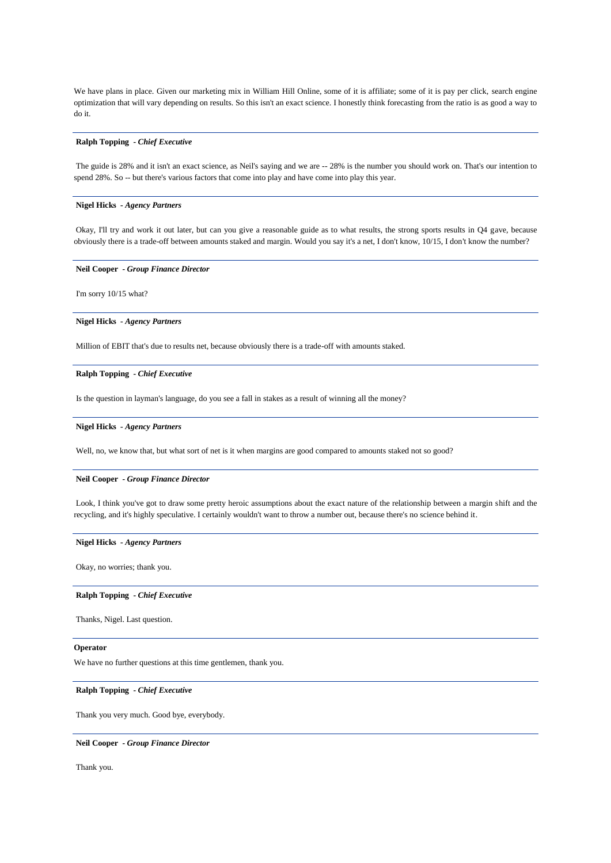We have plans in place. Given our marketing mix in William Hill Online, some of it is affiliate; some of it is pay per click, search engine optimization that will vary depending on results. So this isn't an exact science. I honestly think forecasting from the ratio is as good a way to do it.

# **Ralph Topping** *- Chief Executive*

The guide is 28% and it isn't an exact science, as Neil's saying and we are -- 28% is the number you should work on. That's our intention to spend 28%. So -- but there's various factors that come into play and have come into play this year.

# **Nigel Hicks** *- Agency Partners*

Okay, I'll try and work it out later, but can you give a reasonable guide as to what results, the strong sports results in Q4 gave, because obviously there is a trade-off between amounts staked and margin. Would you say it's a net, I don't know, 10/15, I don't know the number?

### **Neil Cooper** *- Group Finance Director*

I'm sorry 10/15 what?

### **Nigel Hicks** *- Agency Partners*

Million of EBIT that's due to results net, because obviously there is a trade-off with amounts staked.

### **Ralph Topping** *- Chief Executive*

Is the question in layman's language, do you see a fall in stakes as a result of winning all the money?

### **Nigel Hicks** *- Agency Partners*

Well, no, we know that, but what sort of net is it when margins are good compared to amounts staked not so good?

### **Neil Cooper** *- Group Finance Director*

Look, I think you've got to draw some pretty heroic assumptions about the exact nature of the relationship between a margin shift and the recycling, and it's highly speculative. I certainly wouldn't want to throw a number out, because there's no science behind it.

# **Nigel Hicks** *- Agency Partners*

Okay, no worries; thank you.

### **Ralph Topping** *- Chief Executive*

Thanks, Nigel. Last question.

### **Operator**

We have no further questions at this time gentlemen, thank you.

# **Ralph Topping** *- Chief Executive*

Thank you very much. Good bye, everybody.

### **Neil Cooper** *- Group Finance Director*

Thank you.